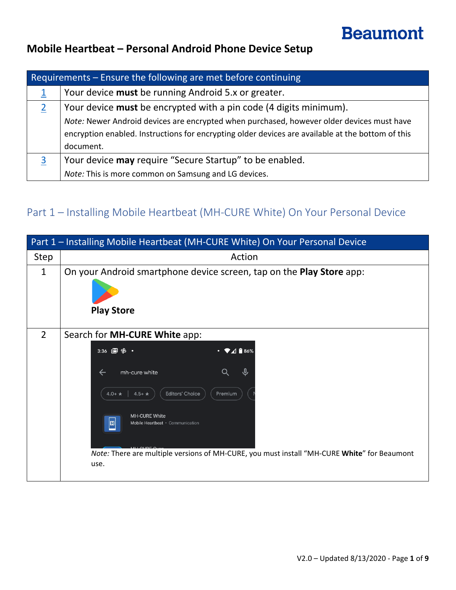# **Beaumont**

### **Mobile Heartbeat – Personal Android Phone Device Setup**

| Requirements $-$ Ensure the following are met before continuing |                                                                                                   |  |
|-----------------------------------------------------------------|---------------------------------------------------------------------------------------------------|--|
|                                                                 | Your device must be running Android 5.x or greater.                                               |  |
|                                                                 | Your device <b>must</b> be encrypted with a pin code (4 digits minimum).                          |  |
|                                                                 | Note: Newer Android devices are encrypted when purchased, however older devices must have         |  |
|                                                                 | encryption enabled. Instructions for encrypting older devices are available at the bottom of this |  |
|                                                                 | document.                                                                                         |  |
|                                                                 | Your device may require "Secure Startup" to be enabled.                                           |  |
|                                                                 | Note: This is more common on Samsung and LG devices.                                              |  |

# <span id="page-0-0"></span>Part 1 – Installing Mobile Heartbeat (MH-CURE White) On Your Personal Device

|                | Part 1 - Installing Mobile Heartbeat (MH-CURE White) On Your Personal Device                                                                                                                                                                                                                                                       |
|----------------|------------------------------------------------------------------------------------------------------------------------------------------------------------------------------------------------------------------------------------------------------------------------------------------------------------------------------------|
| Step           | Action                                                                                                                                                                                                                                                                                                                             |
| $\mathbf{1}$   | On your Android smartphone device screen, tap on the <b>Play Store</b> app:<br><b>Play Store</b>                                                                                                                                                                                                                                   |
| $\overline{2}$ | Search for MH-CURE White app:<br>$A = 86%$<br>$\bullet$<br>mh-cure white<br>$\leftarrow$<br><b>Editors' Choice</b><br>$4.5+ +$<br>$4.0 + \star$<br>Premium<br><b>MH-CURE White</b><br>回<br>Mobile Heartbeat · Communication<br>Note: There are multiple versions of MH-CURE, you must install "MH-CURE White" for Beaumont<br>use. |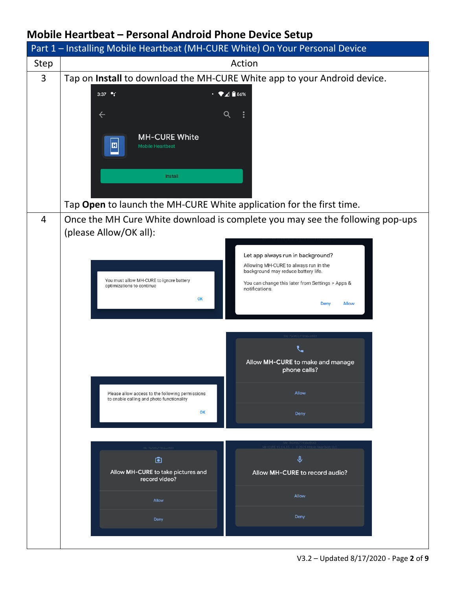|                | Part 1 - Installing Mobile Heartbeat (MH-CURE White) On Your Personal Device                                                        |  |  |
|----------------|-------------------------------------------------------------------------------------------------------------------------------------|--|--|
| Step           | Action                                                                                                                              |  |  |
| $\overline{3}$ | Tap on Install to download the MH-CURE White app to your Android device.                                                            |  |  |
|                | $\cdot \bullet$ <sup>186%</sup><br>3:37 $^{\circ}$ :                                                                                |  |  |
|                | $\leftarrow$<br>Q                                                                                                                   |  |  |
|                |                                                                                                                                     |  |  |
|                | <b>MH-CURE White</b><br>回<br><b>Mobile Heartbeat</b>                                                                                |  |  |
|                |                                                                                                                                     |  |  |
|                | Install                                                                                                                             |  |  |
|                |                                                                                                                                     |  |  |
|                | Tap Open to launch the MH-CURE White application for the first time.                                                                |  |  |
| $\overline{4}$ | Once the MH Cure White download is complete you may see the following pop-ups                                                       |  |  |
|                | (please Allow/OK all):                                                                                                              |  |  |
|                |                                                                                                                                     |  |  |
|                | Let app always run in background?<br>Allowing MH-CURE to always run in the                                                          |  |  |
|                | background may reduce battery life.<br>You must allow MH-CURE to ignore battery<br>You can change this later from Settings > Apps & |  |  |
|                | optimizations to continue<br>notifications.<br>OK                                                                                   |  |  |
|                | Deny<br><b>Allow</b>                                                                                                                |  |  |
|                |                                                                                                                                     |  |  |
|                |                                                                                                                                     |  |  |
|                | Allow MH-CURE to make and manage                                                                                                    |  |  |
|                | phone calls?                                                                                                                        |  |  |
|                | Allow<br>Please allow access to the following permissions                                                                           |  |  |
|                | to enable calling and photo functionality                                                                                           |  |  |
|                | OK<br>Deny                                                                                                                          |  |  |
|                |                                                                                                                                     |  |  |
|                |                                                                                                                                     |  |  |
|                | $\hat{\mathbf{r}}$<br>$\bullet$                                                                                                     |  |  |
|                | Allow MH-CURE to take pictures and<br>Allow MH-CURE to record audio?<br>record video?                                               |  |  |
|                | Allow<br>Allow                                                                                                                      |  |  |
|                | Deny                                                                                                                                |  |  |
|                | Deny                                                                                                                                |  |  |
|                |                                                                                                                                     |  |  |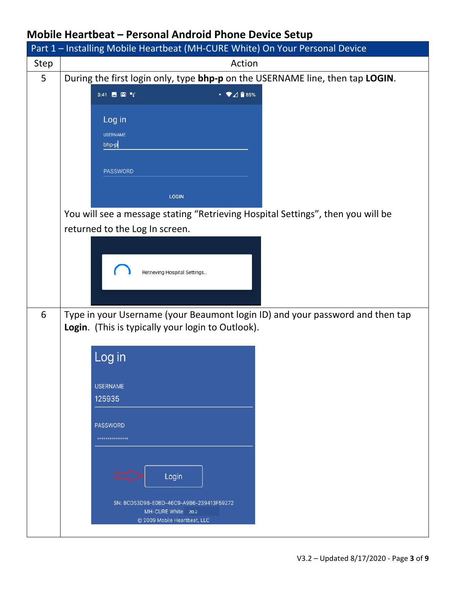|      | Part 1 - Installing Mobile Heartbeat (MH-CURE White) On Your Personal Device                                                       |  |
|------|------------------------------------------------------------------------------------------------------------------------------------|--|
| Step | Action                                                                                                                             |  |
| 5    | During the first login only, type bhp-p on the USERNAME line, then tap LOGIN.                                                      |  |
|      | $\cdot \bullet$ 4 $\bullet$ 85%<br>3:41 $\blacksquare$ $\blacksquare$ $\blacksquare$                                               |  |
|      | Log in                                                                                                                             |  |
|      | <b>USERNAME</b>                                                                                                                    |  |
|      | bhp-p                                                                                                                              |  |
|      |                                                                                                                                    |  |
|      | PASSWORD                                                                                                                           |  |
|      | <b>LOGIN</b>                                                                                                                       |  |
|      | You will see a message stating "Retrieving Hospital Settings", then you will be                                                    |  |
|      | returned to the Log In screen.                                                                                                     |  |
|      |                                                                                                                                    |  |
|      |                                                                                                                                    |  |
|      | Retrieving Hospital Settings                                                                                                       |  |
|      |                                                                                                                                    |  |
|      |                                                                                                                                    |  |
| 6    | Type in your Username (your Beaumont login ID) and your password and then tap<br>Login. (This is typically your login to Outlook). |  |
|      |                                                                                                                                    |  |
|      | Log in                                                                                                                             |  |
|      |                                                                                                                                    |  |
|      | <b>USERNAME</b>                                                                                                                    |  |
|      | 125935                                                                                                                             |  |
|      | <b>PASSWORD</b>                                                                                                                    |  |
|      | ***************                                                                                                                    |  |
|      |                                                                                                                                    |  |
|      |                                                                                                                                    |  |
|      | Login                                                                                                                              |  |
|      | SN: 8CD53D98-E0BD-46C9-A9B6-239413F59272                                                                                           |  |
|      | MH-CURE White 20.2<br>© 2009 Mobile Heartbeat, LLC                                                                                 |  |
|      |                                                                                                                                    |  |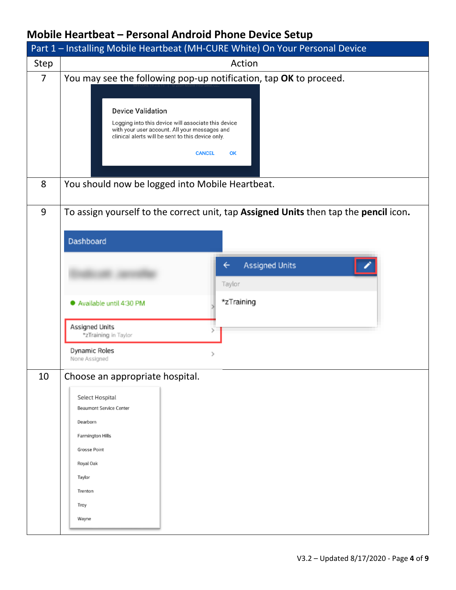|                | Part 1 - Installing Mobile Heartbeat (MH-CURE White) On Your Personal Device                                                                                                                                                                                                      |  |
|----------------|-----------------------------------------------------------------------------------------------------------------------------------------------------------------------------------------------------------------------------------------------------------------------------------|--|
| Step           | Action                                                                                                                                                                                                                                                                            |  |
| $\overline{7}$ | You may see the following pop-up notification, tap OK to proceed.<br><b>Device Validation</b><br>Logging into this device will associate this device<br>with your user account. All your messages and<br>clinical alerts will be sent to this device only.<br><b>CANCEL</b><br>OK |  |
| 8              | You should now be logged into Mobile Heartbeat.                                                                                                                                                                                                                                   |  |
| 9              | To assign yourself to the correct unit, tap Assigned Units then tap the pencil icon.<br>Dashboard<br><b>Assigned Units</b><br>←<br>Taylor<br>*zTraining<br>Available until 4:30 PM<br>Assigned Units<br>*zTraining in Taylor<br>Dynamic Roles<br>$\rightarrow$<br>None Assigned   |  |
| 10             | Choose an appropriate hospital.<br>Select Hospital<br><b>Beaumont Service Center</b><br>Dearborn<br><b>Farmington Hills</b><br><b>Grosse Point</b><br>Royal Oak<br>Taylor<br>Trenton<br>Troy<br>Wayne                                                                             |  |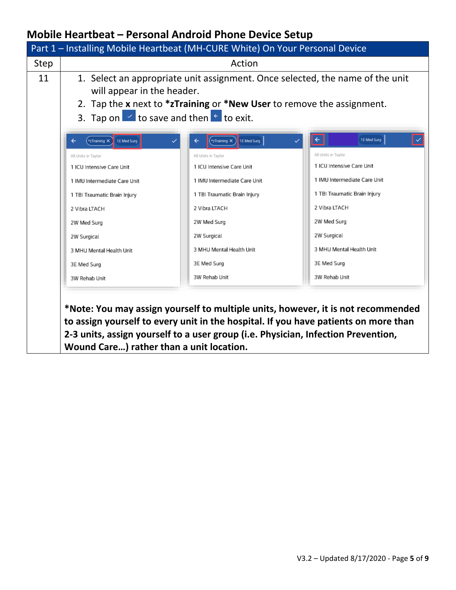|      |                                                                                                                                                                                                                                            | Part 1 - Installing Mobile Heartbeat (MH-CURE White) On Your Personal Device                                                                                                                                                                                 |                              |
|------|--------------------------------------------------------------------------------------------------------------------------------------------------------------------------------------------------------------------------------------------|--------------------------------------------------------------------------------------------------------------------------------------------------------------------------------------------------------------------------------------------------------------|------------------------------|
| Step | Action                                                                                                                                                                                                                                     |                                                                                                                                                                                                                                                              |                              |
| 11   | 1. Select an appropriate unit assignment. Once selected, the name of the unit<br>will appear in the header.<br>2. Tap the x next to *zTraining or *New User to remove the assignment.<br>3. Tap on $\leq$ to save and then $\leq$ to exit. |                                                                                                                                                                                                                                                              |                              |
|      | 1E Med Surg<br>*zTraining X                                                                                                                                                                                                                | $\left( \frac{1}{2}$ Training $\times \right)$<br>1E Med Surg                                                                                                                                                                                                | 1E Med Surg                  |
|      | All Units in Taylor                                                                                                                                                                                                                        | All Units in Taylor                                                                                                                                                                                                                                          | All Units in Taylor          |
|      | 1 ICU Intensive Care Unit                                                                                                                                                                                                                  | 1 ICU Intensive Care Unit                                                                                                                                                                                                                                    | 1 ICU Intensive Care Unit    |
|      | 1 IMU Intermediate Care Unit                                                                                                                                                                                                               | 1 IMU Intermediate Care Unit                                                                                                                                                                                                                                 | 1 IMU Intermediate Care Unit |
|      | 1 TBI Traumatic Brain Injury                                                                                                                                                                                                               | 1 TBI Traumatic Brain Injury                                                                                                                                                                                                                                 | 1 TBI Traumatic Brain Injury |
|      | 2 Vibra LTACH                                                                                                                                                                                                                              | 2 Vibra LTACH                                                                                                                                                                                                                                                | 2 Vibra LTACH                |
|      | 2W Med Surg                                                                                                                                                                                                                                | 2W Med Surg                                                                                                                                                                                                                                                  | 2W Med Surg                  |
|      | 2W Surgical                                                                                                                                                                                                                                | 2W Surgical                                                                                                                                                                                                                                                  | 2W Surgical                  |
|      | 3 MHU Mental Health Unit                                                                                                                                                                                                                   | 3 MHU Mental Health Unit                                                                                                                                                                                                                                     | 3 MHU Mental Health Unit     |
|      | 3E Med Surg                                                                                                                                                                                                                                | 3E Med Surg                                                                                                                                                                                                                                                  | 3E Med Surg                  |
|      | 3W Rehab Unit                                                                                                                                                                                                                              | 3W Rehab Unit                                                                                                                                                                                                                                                | 3W Rehab Unit                |
|      | Wound Care) rather than a unit location.                                                                                                                                                                                                   | *Note: You may assign yourself to multiple units, however, it is not recommended<br>to assign yourself to every unit in the hospital. If you have patients on more than<br>2-3 units, assign yourself to a user group (i.e. Physician, Infection Prevention, |                              |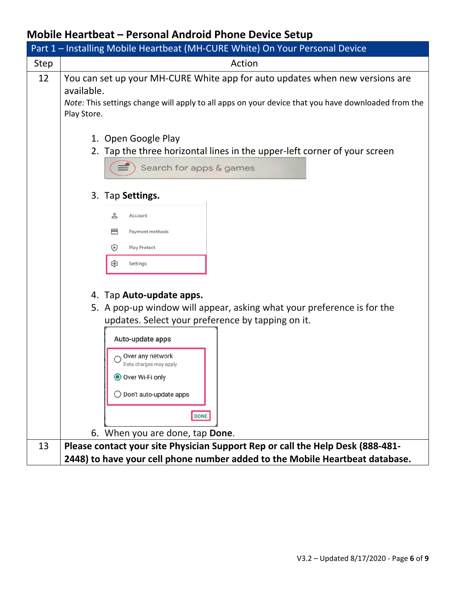|             | Part 1 - Installing Mobile Heartbeat (MH-CURE White) On Your Personal Device                                                                                                                                                                                                                       |
|-------------|----------------------------------------------------------------------------------------------------------------------------------------------------------------------------------------------------------------------------------------------------------------------------------------------------|
| <b>Step</b> | Action                                                                                                                                                                                                                                                                                             |
| 12          | You can set up your MH-CURE White app for auto updates when new versions are<br>available.<br>Note: This settings change will apply to all apps on your device that you have downloaded from the<br>Play Store.                                                                                    |
|             | 1. Open Google Play<br>2. Tap the three horizontal lines in the upper-left corner of your screen<br>Search for apps & games                                                                                                                                                                        |
|             | 3. Tap Settings.<br>≗<br>Account<br>⊟<br>Payment methods<br>$\bigcirc$<br><b>Play Protect</b><br>జి<br>Settings                                                                                                                                                                                    |
|             | 4. Tap Auto-update apps.<br>5. A pop-up window will appear, asking what your preference is for the<br>updates. Select your preference by tapping on it.<br>Auto-update apps<br>Over any network<br>Data charges may apply<br>● Over Wi-Fi only<br>$\bigcirc$ Don't auto-update apps<br><b>DONE</b> |
| 13          | 6. When you are done, tap Done.<br>Please contact your site Physician Support Rep or call the Help Desk (888-481-                                                                                                                                                                                  |
|             | 2448) to have your cell phone number added to the Mobile Heartbeat database.                                                                                                                                                                                                                       |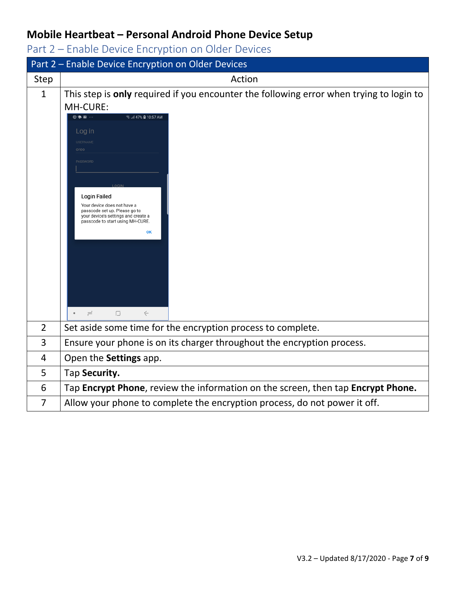<span id="page-6-0"></span>Part 2 – Enable Device Encryption on Older Devices

|                | Part 2 - Enable Device Encryption on Older Devices                                                                                                                                                                                                                                                                                                                                                                                                           |
|----------------|--------------------------------------------------------------------------------------------------------------------------------------------------------------------------------------------------------------------------------------------------------------------------------------------------------------------------------------------------------------------------------------------------------------------------------------------------------------|
| Step           | Action                                                                                                                                                                                                                                                                                                                                                                                                                                                       |
| $\mathbf{1}$   | This step is only required if you encounter the following error when trying to login to<br>MH-CURE:<br>$\circledcirc \bullet \textbf{m} \; \cdots$<br>S.dl 47% ■ 10:57 AM<br>Log in<br><b>USERNAME</b><br>oreo<br>PASSWORD<br><b>Login Failed</b><br>Your device does not have a<br>passcode set up. Please go to<br>your device's settings and create a<br>passcode to start using MH-CURE.<br>OK<br>$\leftarrow$<br>$\bullet$<br>$\rightleftharpoons$<br>厅 |
| $\overline{2}$ | Set aside some time for the encryption process to complete.                                                                                                                                                                                                                                                                                                                                                                                                  |
| 3              | Ensure your phone is on its charger throughout the encryption process.                                                                                                                                                                                                                                                                                                                                                                                       |
|                |                                                                                                                                                                                                                                                                                                                                                                                                                                                              |
| 4              | Open the Settings app.                                                                                                                                                                                                                                                                                                                                                                                                                                       |
| 5              | Tap Security.                                                                                                                                                                                                                                                                                                                                                                                                                                                |
| 6              | Tap Encrypt Phone, review the information on the screen, then tap Encrypt Phone.                                                                                                                                                                                                                                                                                                                                                                             |
| 7              | Allow your phone to complete the encryption process, do not power it off.                                                                                                                                                                                                                                                                                                                                                                                    |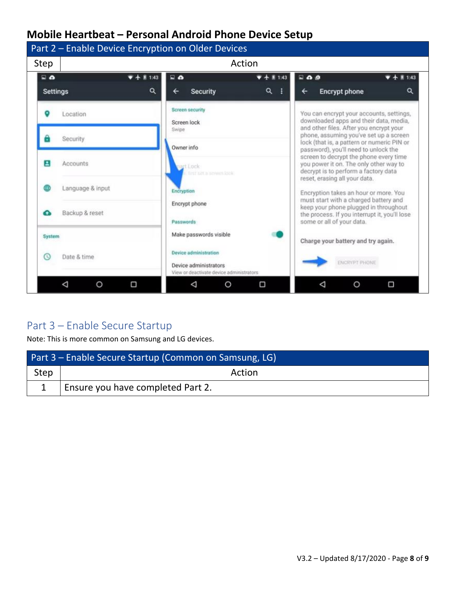

#### <span id="page-7-0"></span>Part 3 – Enable Secure Startup

Note: This is more common on Samsung and LG devices.

| Part 3 – Enable Secure Startup (Common on Samsung, LG) |                                   |  |
|--------------------------------------------------------|-----------------------------------|--|
| Step                                                   | Action                            |  |
|                                                        | Ensure you have completed Part 2. |  |